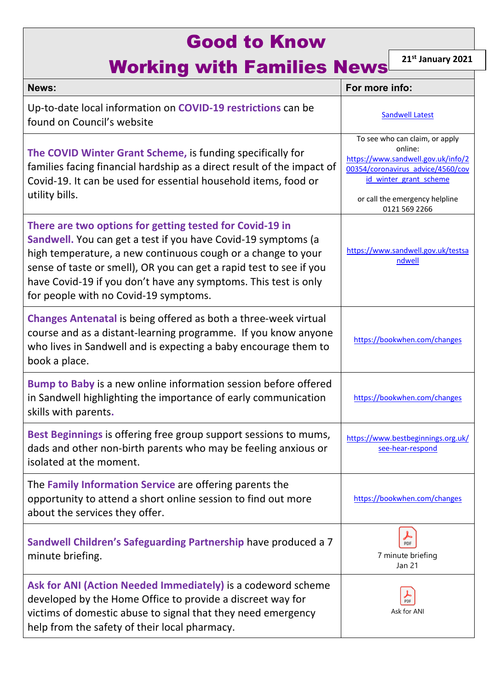## Good to Know

## Working with Families News

**21st January 2021**

| News:                                                                                                                                                                                                                                                                                                                                                                        | For more info:                                                                                                                                                                                    |
|------------------------------------------------------------------------------------------------------------------------------------------------------------------------------------------------------------------------------------------------------------------------------------------------------------------------------------------------------------------------------|---------------------------------------------------------------------------------------------------------------------------------------------------------------------------------------------------|
| Up-to-date local information on COVID-19 restrictions can be<br>found on Council's website                                                                                                                                                                                                                                                                                   | <b>Sandwell Latest</b>                                                                                                                                                                            |
| The COVID Winter Grant Scheme, is funding specifically for<br>families facing financial hardship as a direct result of the impact of<br>Covid-19. It can be used for essential household items, food or<br>utility bills.                                                                                                                                                    | To see who can claim, or apply<br>online:<br>https://www.sandwell.gov.uk/info/2<br>00354/coronavirus advice/4560/cov<br>id winter grant scheme<br>or call the emergency helpline<br>0121 569 2266 |
| There are two options for getting tested for Covid-19 in<br>Sandwell. You can get a test if you have Covid-19 symptoms (a<br>high temperature, a new continuous cough or a change to your<br>sense of taste or smell), OR you can get a rapid test to see if you<br>have Covid-19 if you don't have any symptoms. This test is only<br>for people with no Covid-19 symptoms. | https://www.sandwell.gov.uk/testsa<br>ndwell                                                                                                                                                      |
| <b>Changes Antenatal is being offered as both a three-week virtual</b><br>course and as a distant-learning programme. If you know anyone<br>who lives in Sandwell and is expecting a baby encourage them to<br>book a place.                                                                                                                                                 | https://bookwhen.com/changes                                                                                                                                                                      |
| <b>Bump to Baby</b> is a new online information session before offered<br>in Sandwell highlighting the importance of early communication<br>skills with parents.                                                                                                                                                                                                             | https://bookwhen.com/changes                                                                                                                                                                      |
| Best Beginnings is offering free group support sessions to mums,<br>dads and other non-birth parents who may be feeling anxious or<br>isolated at the moment.                                                                                                                                                                                                                | https://www.bestbeginnings.org.uk/<br>see-hear-respond                                                                                                                                            |
| The Family Information Service are offering parents the<br>opportunity to attend a short online session to find out more<br>about the services they offer.                                                                                                                                                                                                                   | https://bookwhen.com/changes                                                                                                                                                                      |
| Sandwell Children's Safeguarding Partnership have produced a 7<br>minute briefing.                                                                                                                                                                                                                                                                                           | PDF<br>7 minute briefing<br>Jan 21                                                                                                                                                                |
| Ask for ANI (Action Needed Immediately) is a codeword scheme<br>developed by the Home Office to provide a discreet way for<br>victims of domestic abuse to signal that they need emergency<br>help from the safety of their local pharmacy.                                                                                                                                  | PDF<br>Ask for ANI                                                                                                                                                                                |